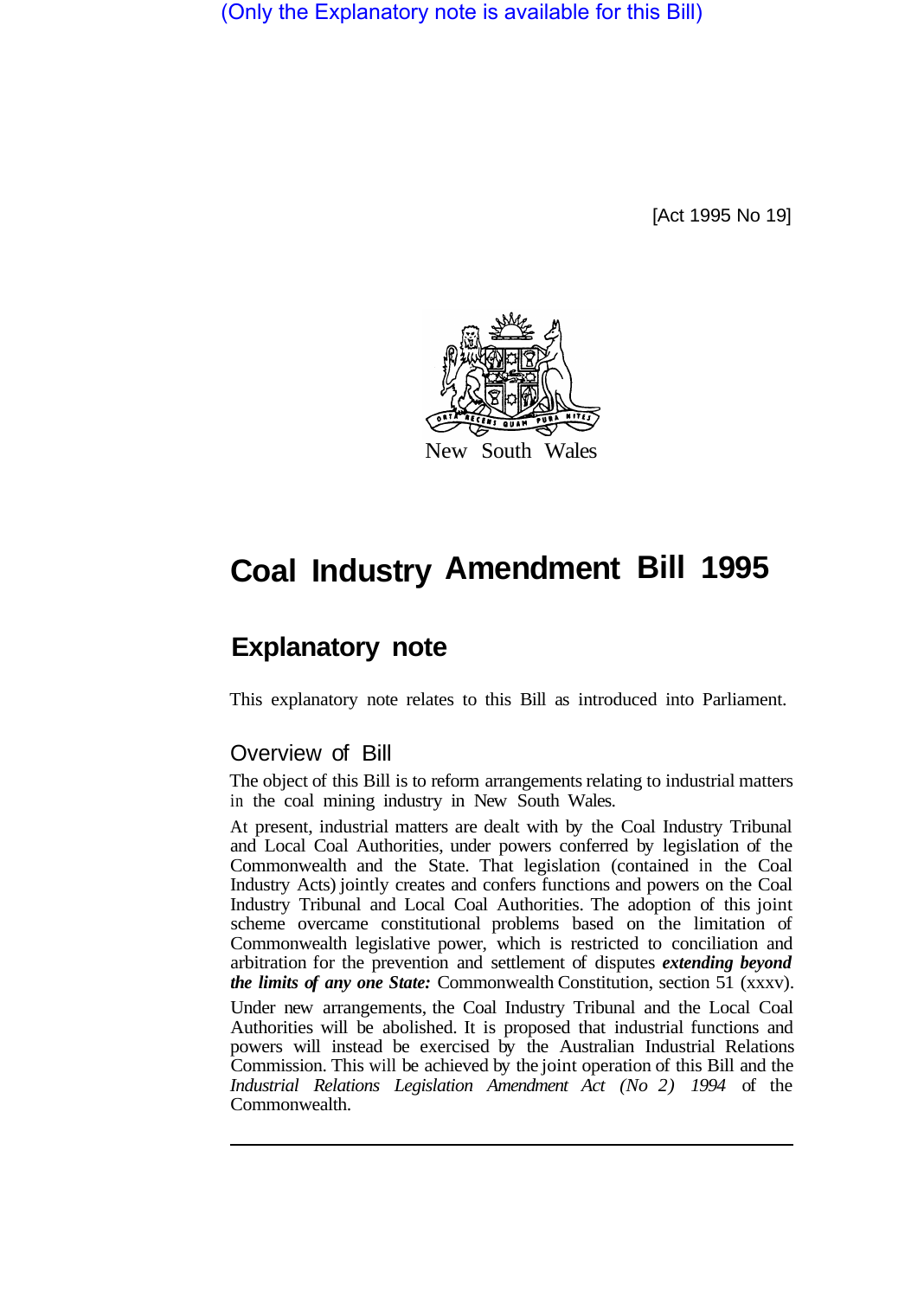(Only the Explanatory note is available for this Bill)

[Act 1995 No 19]



# **Coal Industry Amendment Bill 1995**

# **Explanatory note**

This explanatory note relates to this Bill as introduced into Parliament.

## Overview of Bill

The object of this Bill is to reform arrangements relating to industrial matters in the coal mining industry in New South Wales.

At present, industrial matters are dealt with by the Coal Industry Tribunal and Local Coal Authorities, under powers conferred by legislation of the Commonwealth and the State. That legislation (contained in the Coal Industry Acts) jointly creates and confers functions and powers on the Coal Industry Tribunal and Local Coal Authorities. The adoption of this joint scheme overcame constitutional problems based on the limitation of Commonwealth legislative power, which is restricted to conciliation and arbitration for the prevention and settlement of disputes *extending beyond the limits of any one State:* Commonwealth Constitution, section 51 (xxxv).

Under new arrangements, the Coal Industry Tribunal and the Local Coal Authorities will be abolished. It is proposed that industrial functions and powers will instead be exercised by the Australian Industrial Relations Commission. This will be achieved by the joint operation of this Bill and the *Industrial Relations Legislation Amendment Act (No 2) 1994* of the Commonwealth.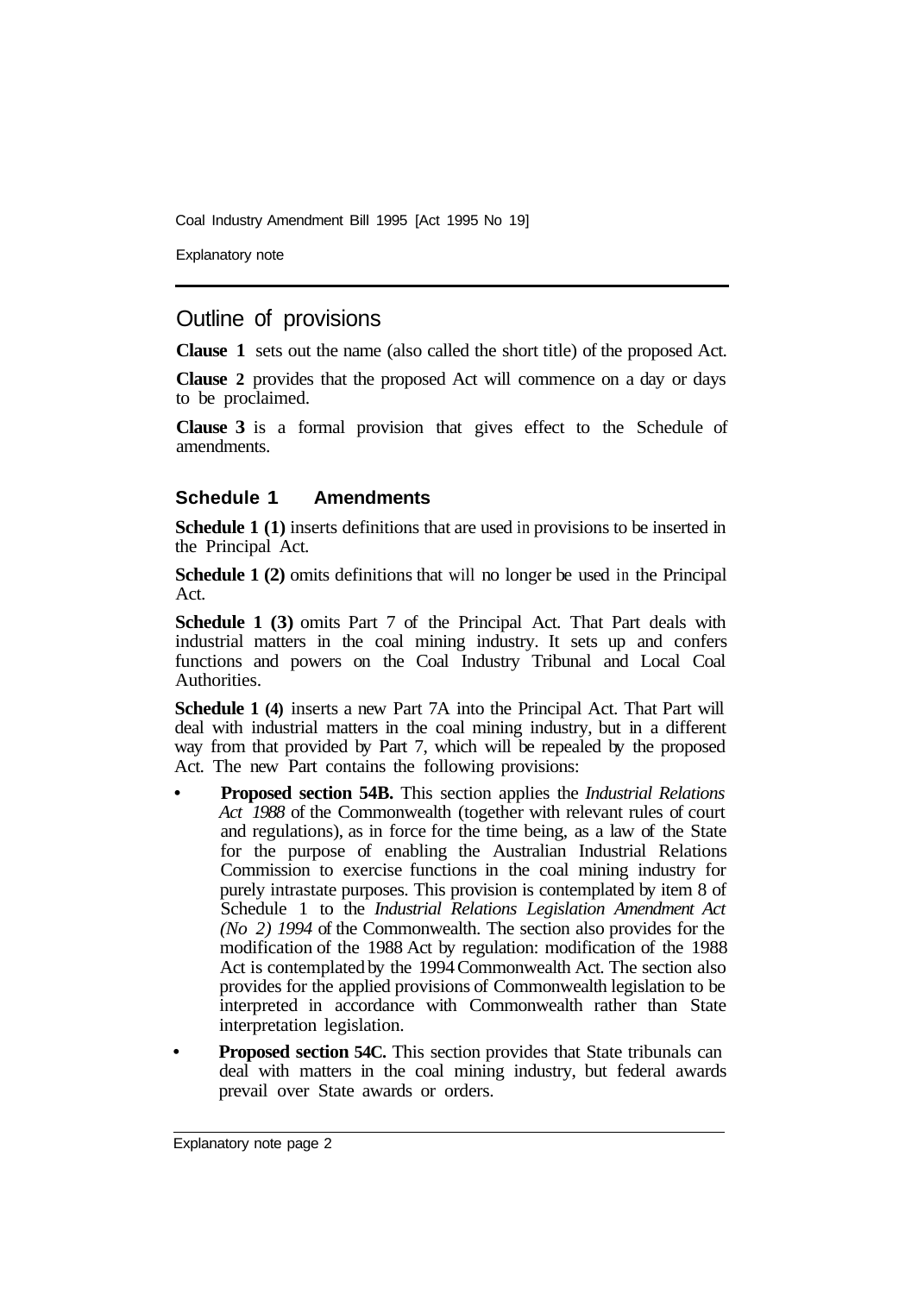Coal Industry Amendment Bill 1995 [Act 1995 No 19]

Explanatory note

### Outline of provisions

**Clause 1** sets out the name (also called the short title) of the proposed Act.

**Clause 2** provides that the proposed Act will commence on a day or days to be proclaimed.

**Clause 3** is a formal provision that gives effect to the Schedule of amendments.

#### **Schedule 1 Amendments**

**Schedule 1 (1)** inserts definitions that are used in provisions to be inserted in the Principal Act.

**Schedule 1 (2)** omits definitions that will no longer be used in the Principal Act.

**Schedule 1 (3)** omits Part 7 of the Principal Act. That Part deals with industrial matters in the coal mining industry. It sets up and confers functions and powers on the Coal Industry Tribunal and Local Coal Authorities.

**Schedule 1 (4)** inserts a new Part 7A into the Principal Act. That Part will deal with industrial matters in the coal mining industry, but in a different way from that provided by Part 7, which will be repealed by the proposed Act. The new Part contains the following provisions:

- **Proposed section 54B.** This section applies the *Industrial Relations Act 1988* of the Commonwealth (together with relevant rules of court and regulations), as in force for the time being, as a law of the State for the purpose of enabling the Australian Industrial Relations Commission to exercise functions in the coal mining industry for purely intrastate purposes. This provision is contemplated by item 8 of Schedule 1 to the *Industrial Relations Legislation Amendment Act (No 2) 1994* of the Commonwealth. The section also provides for the modification of the 1988 Act by regulation: modification of the 1988 Act is contemplated by the 1994 Commonwealth Act. The section also provides for the applied provisions of Commonwealth legislation to be interpreted in accordance with Commonwealth rather than State interpretation legislation.
- **Proposed section 54C.** This section provides that State tribunals can deal with matters in the coal mining industry, but federal awards prevail over State awards or orders.